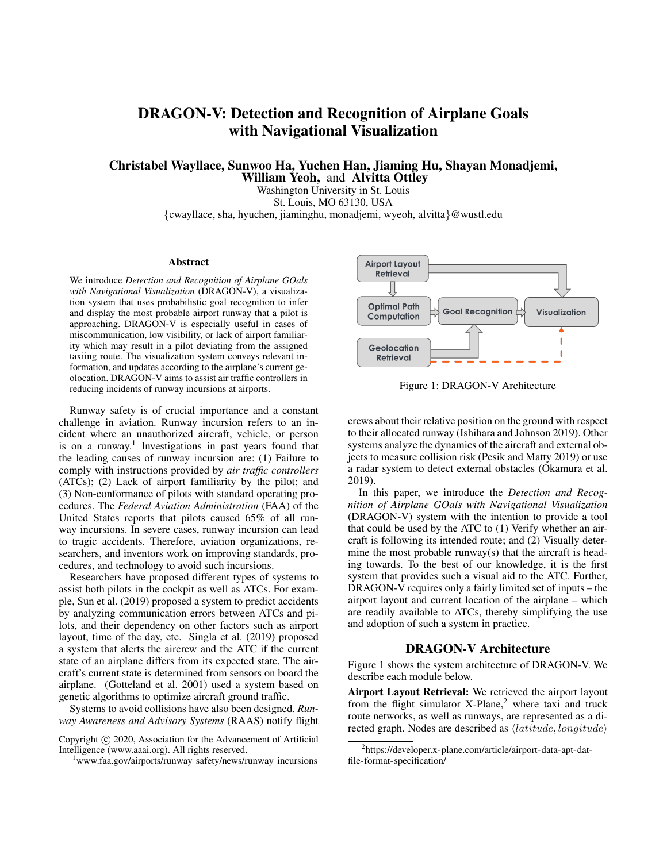# DRAGON-V: Detection and Recognition of Airplane Goals with Navigational Visualization

Christabel Wayllace, Sunwoo Ha, Yuchen Han, Jiaming Hu, Shayan Monadjemi, William Yeoh, and Alvitta Ottley

Washington University in St. Louis St. Louis, MO 63130, USA {cwayllace, sha, hyuchen, jiaminghu, monadjemi, wyeoh, alvitta}@wustl.edu

#### **Abstract**

We introduce *Detection and Recognition of Airplane GOals with Navigational Visualization* (DRAGON-V), a visualization system that uses probabilistic goal recognition to infer and display the most probable airport runway that a pilot is approaching. DRAGON-V is especially useful in cases of miscommunication, low visibility, or lack of airport familiarity which may result in a pilot deviating from the assigned taxiing route. The visualization system conveys relevant information, and updates according to the airplane's current geolocation. DRAGON-V aims to assist air traffic controllers in reducing incidents of runway incursions at airports.

Runway safety is of crucial importance and a constant challenge in aviation. Runway incursion refers to an incident where an unauthorized aircraft, vehicle, or person is on a runway.<sup>1</sup> Investigations in past years found that the leading causes of runway incursion are: (1) Failure to comply with instructions provided by *air traffic controllers* (ATCs); (2) Lack of airport familiarity by the pilot; and (3) Non-conformance of pilots with standard operating procedures. The *Federal Aviation Administration* (FAA) of the United States reports that pilots caused 65% of all runway incursions. In severe cases, runway incursion can lead to tragic accidents. Therefore, aviation organizations, researchers, and inventors work on improving standards, procedures, and technology to avoid such incursions.

Researchers have proposed different types of systems to assist both pilots in the cockpit as well as ATCs. For example, Sun et al. (2019) proposed a system to predict accidents by analyzing communication errors between ATCs and pilots, and their dependency on other factors such as airport layout, time of the day, etc. Singla et al. (2019) proposed a system that alerts the aircrew and the ATC if the current state of an airplane differs from its expected state. The aircraft's current state is determined from sensors on board the airplane. (Gotteland et al. 2001) used a system based on genetic algorithms to optimize aircraft ground traffic.

Systems to avoid collisions have also been designed. *Runway Awareness and Advisory Systems* (RAAS) notify flight



Figure 1: DRAGON-V Architecture

crews about their relative position on the ground with respect to their allocated runway (Ishihara and Johnson 2019). Other systems analyze the dynamics of the aircraft and external objects to measure collision risk (Pesik and Matty 2019) or use a radar system to detect external obstacles (Okamura et al. 2019).

In this paper, we introduce the *Detection and Recognition of Airplane GOals with Navigational Visualization* (DRAGON-V) system with the intention to provide a tool that could be used by the ATC to (1) Verify whether an aircraft is following its intended route; and (2) Visually determine the most probable runway(s) that the aircraft is heading towards. To the best of our knowledge, it is the first system that provides such a visual aid to the ATC. Further, DRAGON-V requires only a fairly limited set of inputs – the airport layout and current location of the airplane – which are readily available to ATCs, thereby simplifying the use and adoption of such a system in practice.

## DRAGON-V Architecture

Figure 1 shows the system architecture of DRAGON-V. We describe each module below.

Airport Layout Retrieval: We retrieved the airport layout from the flight simulator  $X$ -Plane,<sup>2</sup> where taxi and truck route networks, as well as runways, are represented as a directed graph. Nodes are described as  $\langle latitude, longitude \rangle$ 

Copyright (c) 2020, Association for the Advancement of Artificial Intelligence (www.aaai.org). All rights reserved.

<sup>&</sup>lt;sup>1</sup>www.faa.gov/airports/runway\_safety/news/runway\_incursions

<sup>&</sup>lt;sup>2</sup>https://developer.x-plane.com/article/airport-data-apt-datfile-format-specification/